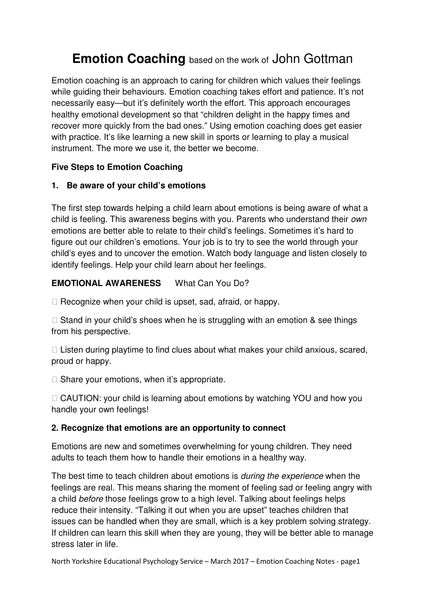# **Emotion Coaching** based on the work of John Gottman

Emotion coaching is an approach to caring for children which values their feelings while guiding their behaviours. Emotion coaching takes effort and patience. It's not necessarily easy—but it's definitely worth the effort. This approach encourages healthy emotional development so that "children delight in the happy times and recover more quickly from the bad ones." Using emotion coaching does get easier with practice. It's like learning a new skill in sports or learning to play a musical instrument. The more we use it, the better we become.

## **Five Steps to Emotion Coaching**

## **1. Be aware of your child's emotions**

The first step towards helping a child learn about emotions is being aware of what a child is feeling. This awareness begins with you. Parents who understand their *own*  emotions are better able to relate to their child's feelings. Sometimes it's hard to figure out our children's emotions. Your job is to try to see the world through your child's eyes and to uncover the emotion. Watch body language and listen closely to identify feelings. Help your child learn about her feelings.

## **EMOTIONAL AWARENESS** What Can You Do?

Recognize when your child is upset, sad, afraid, or happy.

 Stand in your child's shoes when he is struggling with an emotion & see things from his perspective.

 Listen during playtime to find clues about what makes your child anxious, scared, proud or happy.

Share your emotions, when it's appropriate.

 CAUTION: your child is learning about emotions by watching YOU and how you handle your own feelings!

## **2. Recognize that emotions are an opportunity to connect**

Emotions are new and sometimes overwhelming for young children. They need adults to teach them how to handle their emotions in a healthy way.

The best time to teach children about emotions is *during the experience* when the feelings are real. This means sharing the moment of feeling sad or feeling angry with a child *before* those feelings grow to a high level. Talking about feelings helps reduce their intensity. "Talking it out when you are upset" teaches children that issues can be handled when they are small, which is a key problem solving strategy. If children can learn this skill when they are young, they will be better able to manage stress later in life.

North Yorkshire Educational Psychology Service – March 2017 – Emotion Coaching Notes - page1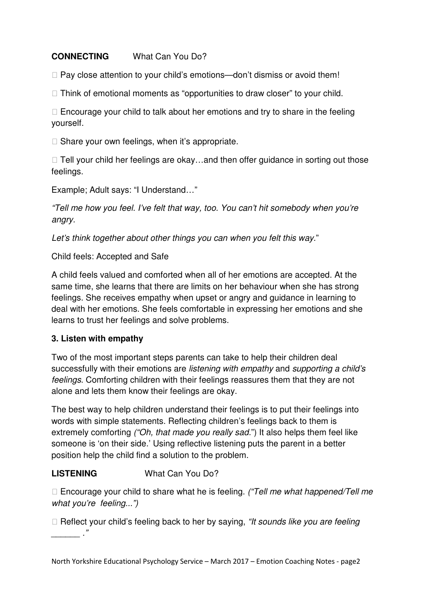## **CONNECTING** What Can You Do?

Pay close attention to your child's emotions—don't dismiss or avoid them!

Think of emotional moments as "opportunities to draw closer" to your child.

 Encourage your child to talk about her emotions and try to share in the feeling yourself.

Share your own feelings, when it's appropriate.

 Tell your child her feelings are okay…and then offer guidance in sorting out those feelings.

Example; Adult says: "I Understand…"

*"Tell me how you feel. I've felt that way, too. You can't hit somebody when you're angry.* 

*Let's think together about other things you can when you felt this way.*"

Child feels: Accepted and Safe

A child feels valued and comforted when all of her emotions are accepted. At the same time, she learns that there are limits on her behaviour when she has strong feelings. She receives empathy when upset or angry and guidance in learning to deal with her emotions. She feels comfortable in expressing her emotions and she learns to trust her feelings and solve problems.

## **3. Listen with empathy**

Two of the most important steps parents can take to help their children deal successfully with their emotions are *listening with empathy* and *supporting a child's feelings*. Comforting children with their feelings reassures them that they are not alone and lets them know their feelings are okay.

The best way to help children understand their feelings is to put their feelings into words with simple statements. Reflecting children's feelings back to them is extremely comforting *("Oh, that made you really sad.*") It also helps them feel like someone is 'on their side.' Using reflective listening puts the parent in a better position help the child find a solution to the problem.

## **LISTENING** What Can You Do?

 Encourage your child to share what he is feeling. *("Tell me what happened/Tell me what you're feeling...")* 

 Reflect your child's feeling back to her by saying, *"It sounds like you are feeling*   $\overline{\phantom{a}}$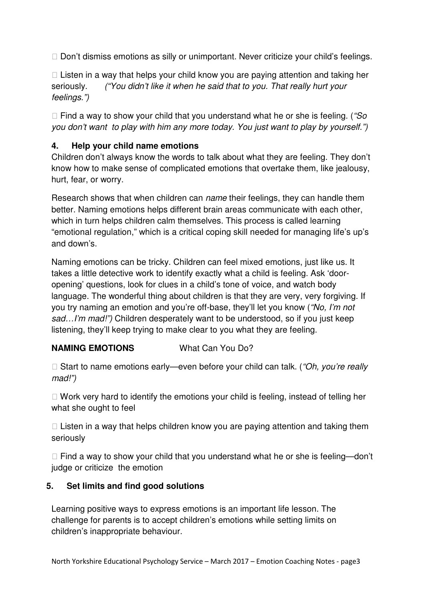Don't dismiss emotions as silly or unimportant. Never criticize your child's feelings.

 Listen in a way that helps your child know you are paying attention and taking her seriously. *("You didn't like it when he said that to you. That really hurt your feelings.")* 

 Find a way to show your child that you understand what he or she is feeling. (*"So you don't want to play with him any more today. You just want to play by yourself.")* 

## **4. Help your child name emotions**

Children don't always know the words to talk about what they are feeling. They don't know how to make sense of complicated emotions that overtake them, like jealousy, hurt, fear, or worry.

Research shows that when children can *name* their feelings, they can handle them better. Naming emotions helps different brain areas communicate with each other, which in turn helps children calm themselves. This process is called learning "emotional regulation," which is a critical coping skill needed for managing life's up's and down's.

Naming emotions can be tricky. Children can feel mixed emotions, just like us. It takes a little detective work to identify exactly what a child is feeling. Ask 'dooropening' questions, look for clues in a child's tone of voice, and watch body language. The wonderful thing about children is that they are very, very forgiving. If you try naming an emotion and you're off-base, they'll let you know (*"No, I'm not sad…I'm mad!")* Children desperately want to be understood, so if you just keep listening, they'll keep trying to make clear to you what they are feeling.

## **NAMING EMOTIONS** What Can You Do?

 Start to name emotions early—even before your child can talk. (*"Oh, you're really mad!")* 

 Work very hard to identify the emotions your child is feeling, instead of telling her what she ought to feel

 Listen in a way that helps children know you are paying attention and taking them seriously

 Find a way to show your child that you understand what he or she is feeling—don't judge or criticize the emotion

## **5. Set limits and find good solutions**

Learning positive ways to express emotions is an important life lesson. The challenge for parents is to accept children's emotions while setting limits on children's inappropriate behaviour.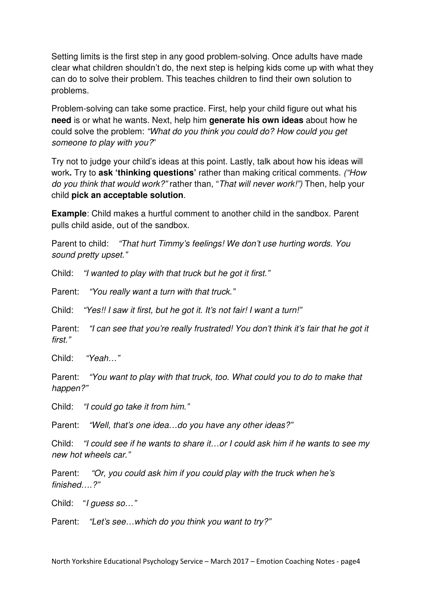Setting limits is the first step in any good problem-solving. Once adults have made clear what children shouldn't do, the next step is helping kids come up with what they can do to solve their problem. This teaches children to find their own solution to problems.

Problem-solving can take some practice. First, help your child figure out what his **need** is or what he wants. Next, help him **generate his own ideas** about how he could solve the problem: *"What do you think you could do? How could you get someone to play with you?*"

Try not to judge your child's ideas at this point. Lastly, talk about how his ideas will work**.** Try to **ask 'thinking questions'** rather than making critical comments. *("How do you think that would work?"* rather than, "*That will never work!")* Then, help your child **pick an acceptable solution**.

**Example**: Child makes a hurtful comment to another child in the sandbox. Parent pulls child aside, out of the sandbox.

Parent to child: *"That hurt Timmy's feelings! We don't use hurting words. You sound pretty upset."* 

Child: *"I wanted to play with that truck but he got it first."* 

Parent: *"You really want a turn with that truck."* 

Child: *"Yes!! I saw it first, but he got it. It's not fair! I want a turn!"* 

Parent: *"I can see that you're really frustrated! You don't think it's fair that he got it first."* 

Child: *"Yeah…"* 

Parent: *"You want to play with that truck, too. What could you to do to make that happen?"* 

Child: *"I could go take it from him."* 

Parent: *"Well, that's one idea…do you have any other ideas?"* 

Child: *"I could see if he wants to share it…or I could ask him if he wants to see my new hot wheels car."* 

Parent: *"Or, you could ask him if you could play with the truck when he's finished….?"* 

Child: "*I guess so…"* 

Parent: *"Let's see…which do you think you want to try?"*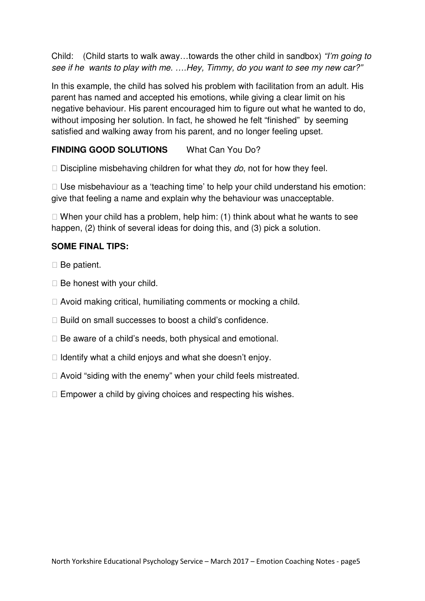Child: (Child starts to walk away…towards the other child in sandbox) *"I'm going to see if he wants to play with me. ….Hey, Timmy, do you want to see my new car?"* 

In this example, the child has solved his problem with facilitation from an adult. His parent has named and accepted his emotions, while giving a clear limit on his negative behaviour. His parent encouraged him to figure out what he wanted to do, without imposing her solution. In fact, he showed he felt "finished" by seeming satisfied and walking away from his parent, and no longer feeling upset.

## **FINDING GOOD SOLUTIONS** What Can You Do?

Discipline misbehaving children for what they *do*, not for how they feel.

 Use misbehaviour as a 'teaching time' to help your child understand his emotion: give that feeling a name and explain why the behaviour was unacceptable.

 When your child has a problem, help him: (1) think about what he wants to see happen, (2) think of several ideas for doing this, and (3) pick a solution.

#### **SOME FINAL TIPS:**

Be patient.

Be honest with your child.

Avoid making critical, humiliating comments or mocking a child.

Build on small successes to boost a child's confidence.

Be aware of a child's needs, both physical and emotional.

Identify what a child enjoys and what she doesn't enjoy.

Avoid "siding with the enemy" when your child feels mistreated.

Empower a child by giving choices and respecting his wishes.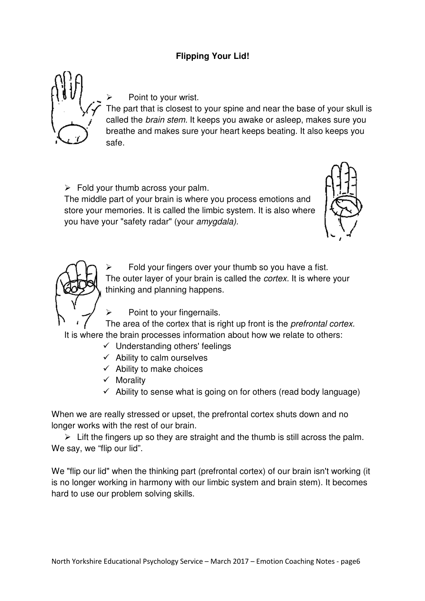## **Flipping Your Lid!**



Point to your wrist.

The part that is closest to your spine and near the base of your skull is called the *brain stem.* It keeps you awake or asleep, makes sure you breathe and makes sure your heart keeps beating. It also keeps you safe.

 $\triangleright$  Fold your thumb across your palm.

The middle part of your brain is where you process emotions and store your memories. It is called the limbic system. It is also where you have your "safety radar" (your *amygdala).* 





 Fold your fingers over your thumb so you have a fist. The outer layer of your brain is called the *cortex.* It is where your thinking and planning happens.

 $\triangleright$  Point to your fingernails.

The area of the cortex that is right up front is the *prefrontal cortex.*  It is where the brain processes information about how we relate to others:

- Understanding others' feelings
- $\checkmark$  Ability to calm ourselves
- $\checkmark$  Ability to make choices
- $\checkmark$  Morality
- $\checkmark$  Ability to sense what is going on for others (read body language)

When we are really stressed or upset, the prefrontal cortex shuts down and no longer works with the rest of our brain.

 $\triangleright$  Lift the fingers up so they are straight and the thumb is still across the palm. We say, we "flip our lid".

We "flip our lid" when the thinking part (prefrontal cortex) of our brain isn't working (it is no longer working in harmony with our limbic system and brain stem). It becomes hard to use our problem solving skills.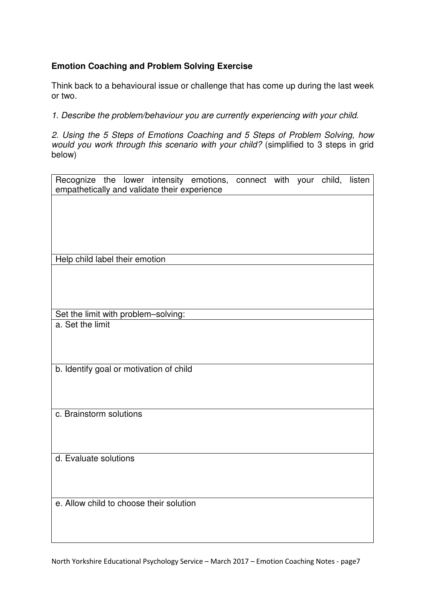## **Emotion Coaching and Problem Solving Exercise**

Think back to a behavioural issue or challenge that has come up during the last week or two.

*1. Describe the problem/behaviour you are currently experiencing with your child.* 

*2. Using the 5 Steps of Emotions Coaching and 5 Steps of Problem Solving, how would you work through this scenario with your child?* (simplified to 3 steps in grid below)

| Recognize the lower intensity emotions, connect with your child, listen<br>empathetically and validate their experience |  |  |  |  |  |  |  |  |
|-------------------------------------------------------------------------------------------------------------------------|--|--|--|--|--|--|--|--|
|                                                                                                                         |  |  |  |  |  |  |  |  |
|                                                                                                                         |  |  |  |  |  |  |  |  |
|                                                                                                                         |  |  |  |  |  |  |  |  |
|                                                                                                                         |  |  |  |  |  |  |  |  |
|                                                                                                                         |  |  |  |  |  |  |  |  |
| Help child label their emotion                                                                                          |  |  |  |  |  |  |  |  |
|                                                                                                                         |  |  |  |  |  |  |  |  |
|                                                                                                                         |  |  |  |  |  |  |  |  |
|                                                                                                                         |  |  |  |  |  |  |  |  |
|                                                                                                                         |  |  |  |  |  |  |  |  |
| Set the limit with problem-solving:                                                                                     |  |  |  |  |  |  |  |  |
| a. Set the limit                                                                                                        |  |  |  |  |  |  |  |  |
|                                                                                                                         |  |  |  |  |  |  |  |  |
|                                                                                                                         |  |  |  |  |  |  |  |  |
| b. Identify goal or motivation of child                                                                                 |  |  |  |  |  |  |  |  |
|                                                                                                                         |  |  |  |  |  |  |  |  |
|                                                                                                                         |  |  |  |  |  |  |  |  |
|                                                                                                                         |  |  |  |  |  |  |  |  |
| c. Brainstorm solutions                                                                                                 |  |  |  |  |  |  |  |  |
|                                                                                                                         |  |  |  |  |  |  |  |  |
|                                                                                                                         |  |  |  |  |  |  |  |  |
|                                                                                                                         |  |  |  |  |  |  |  |  |
| d. Evaluate solutions                                                                                                   |  |  |  |  |  |  |  |  |
|                                                                                                                         |  |  |  |  |  |  |  |  |
|                                                                                                                         |  |  |  |  |  |  |  |  |
|                                                                                                                         |  |  |  |  |  |  |  |  |
| e. Allow child to choose their solution                                                                                 |  |  |  |  |  |  |  |  |
|                                                                                                                         |  |  |  |  |  |  |  |  |
|                                                                                                                         |  |  |  |  |  |  |  |  |
|                                                                                                                         |  |  |  |  |  |  |  |  |

North Yorkshire Educational Psychology Service – March 2017 – Emotion Coaching Notes - page7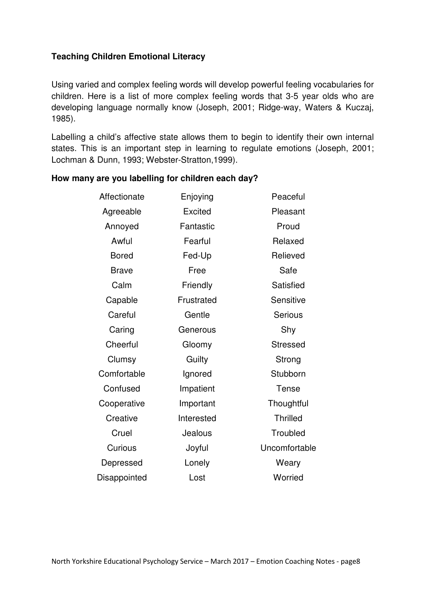## **Teaching Children Emotional Literacy**

Using varied and complex feeling words will develop powerful feeling vocabularies for children. Here is a list of more complex feeling words that 3-5 year olds who are developing language normally know (Joseph, 2001; Ridge-way, Waters & Kuczaj, 1985).

Labelling a child's affective state allows them to begin to identify their own internal states. This is an important step in learning to regulate emotions (Joseph, 2001; Lochman & Dunn, 1993; Webster-Stratton,1999).

#### **How many are you labelling for children each day?**

| Affectionate | Enjoying       |                 |
|--------------|----------------|-----------------|
| Agreeable    | <b>Excited</b> | Pleasant        |
| Annoyed      | Fantastic      | Proud           |
| Awful        | Fearful        | Relaxed         |
| <b>Bored</b> | Fed-Up         | Relieved        |
| <b>Brave</b> | Free           | Safe            |
| Calm         | Friendly       | Satisfied       |
| Capable      | Frustrated     | Sensitive       |
| Careful      | Gentle         | <b>Serious</b>  |
| Caring       | Generous       | Shy             |
| Cheerful     | Gloomy         | <b>Stressed</b> |
| Clumsy       | Guilty         | Strong          |
| Comfortable  | Ignored        | Stubborn        |
| Confused     | Impatient      | Tense           |
| Cooperative  | Important      | Thoughtful      |
| Creative     | Interested     | <b>Thrilled</b> |
| Cruel        | Jealous        | Troubled        |
| Curious      | Joyful         | Uncomfortable   |
| Depressed    | Lonely         | Weary           |
| Disappointed | Lost           | Worried         |